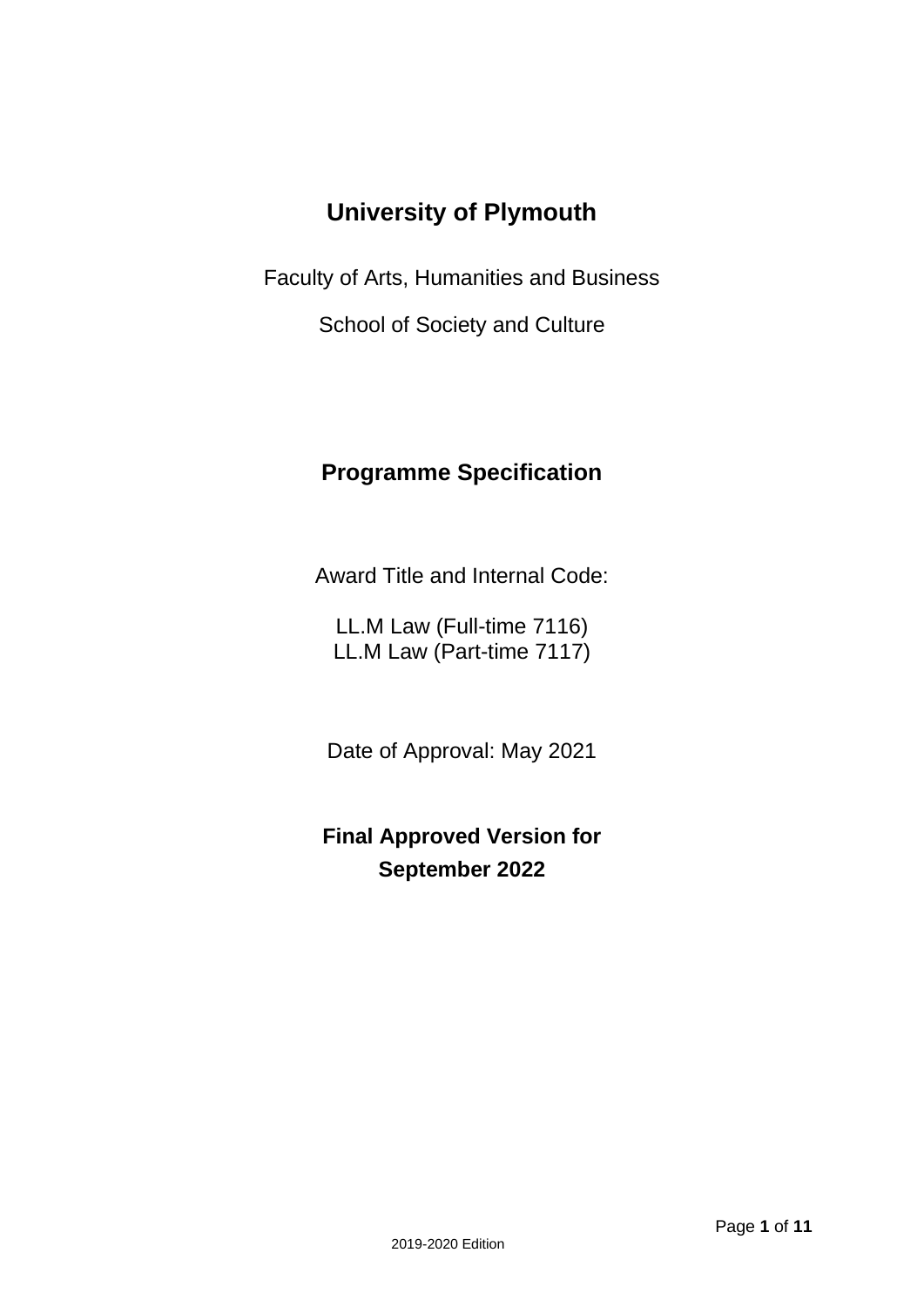# **University of Plymouth**

Faculty of Arts, Humanities and Business

School of Society and Culture

# **Programme Specification**

Award Title and Internal Code:

LL.M Law (Full-time 7116) LL.M Law (Part-time 7117)

Date of Approval: May 2021

**Final Approved Version for September 2022**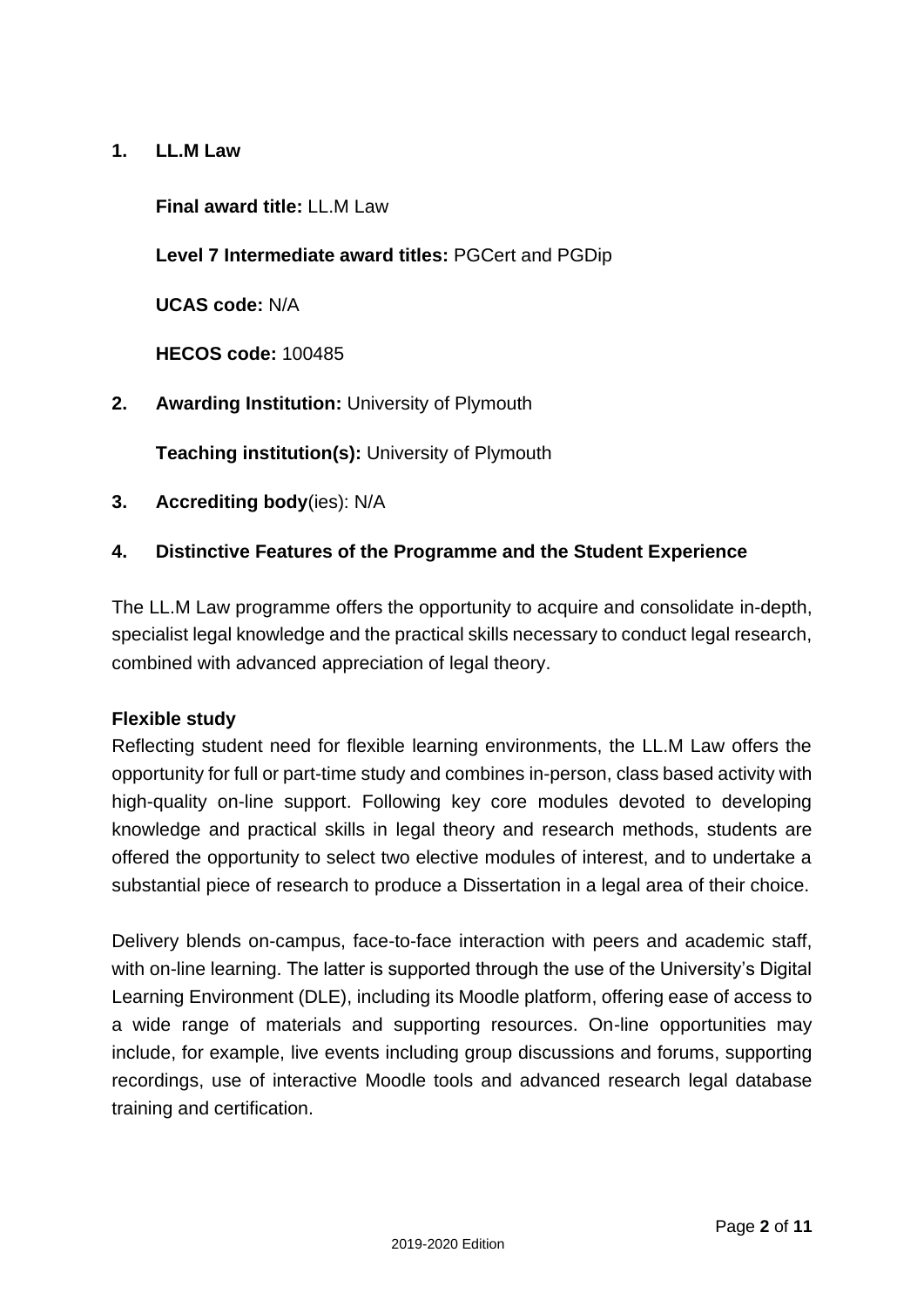### **1. LL.M Law**

#### **Final award title:** LL.M Law

### **Level 7 Intermediate award titles:** PGCert and PGDip

**UCAS code:** N/A

**HECOS code:** 100485

**2. Awarding Institution:** University of Plymouth

**Teaching institution(s):** University of Plymouth

**3. Accrediting body**(ies): N/A

#### **4. Distinctive Features of the Programme and the Student Experience**

The LL.M Law programme offers the opportunity to acquire and consolidate in-depth, specialist legal knowledge and the practical skills necessary to conduct legal research, combined with advanced appreciation of legal theory.

#### **Flexible study**

Reflecting student need for flexible learning environments, the LL.M Law offers the opportunity for full or part-time study and combines in-person, class based activity with high-quality on-line support. Following key core modules devoted to developing knowledge and practical skills in legal theory and research methods, students are offered the opportunity to select two elective modules of interest, and to undertake a substantial piece of research to produce a Dissertation in a legal area of their choice.

Delivery blends on-campus, face-to-face interaction with peers and academic staff, with on-line learning. The latter is supported through the use of the University's Digital Learning Environment (DLE), including its Moodle platform, offering ease of access to a wide range of materials and supporting resources. On-line opportunities may include, for example, live events including group discussions and forums, supporting recordings, use of interactive Moodle tools and advanced research legal database training and certification.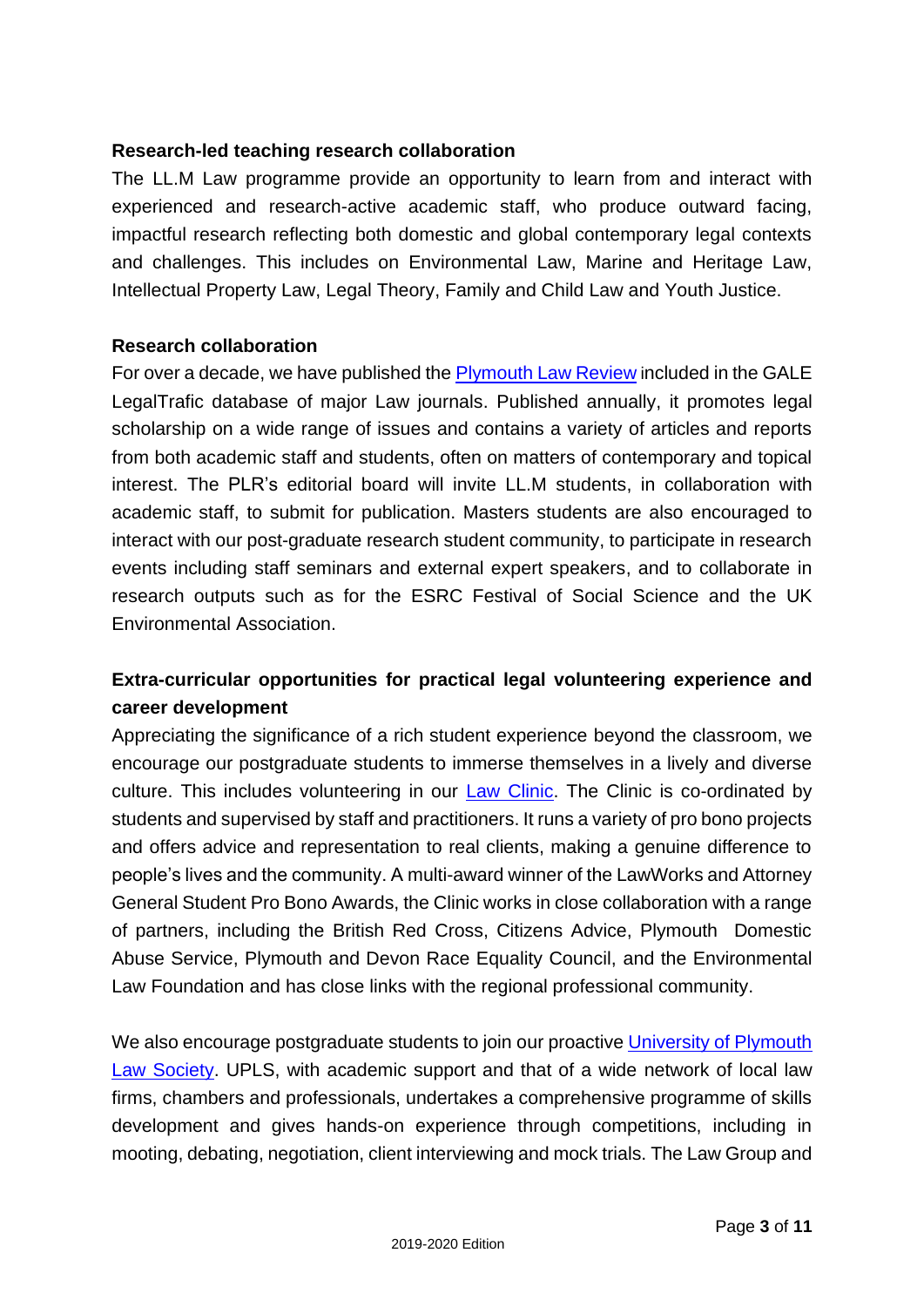#### **Research-led teaching research collaboration**

The LL.M Law programme provide an opportunity to learn from and interact with experienced and research-active academic staff, who produce outward facing, impactful research reflecting both domestic and global contemporary legal contexts and challenges. This includes on Environmental Law, Marine and Heritage Law, Intellectual Property Law, Legal Theory, Family and Child Law and Youth Justice.

#### **Research collaboration**

For over a decade, we have published the [Plymouth Law Review](http://www.plymouthlawreview.org/) included in the GALE LegalTrafic database of major Law journals. Published annually, it promotes legal scholarship on a wide range of issues and contains a variety of articles and reports from both academic staff and students, often on matters of contemporary and topical interest. The PLR's editorial board will invite LL.M students, in collaboration with academic staff, to submit for publication. Masters students are also encouraged to interact with our post-graduate research student community, to participate in research events including staff seminars and external expert speakers, and to collaborate in research outputs such as for the ESRC Festival of Social Science and the UK Environmental Association.

# **Extra-curricular opportunities for practical legal volunteering experience and career development**

Appreciating the significance of a rich student experience beyond the classroom, we encourage our postgraduate students to immerse themselves in a lively and diverse culture. This includes volunteering in our [Law Clinic.](https://www.plymouth.ac.uk/courses/undergraduate/llb-law/plymouth-law-clinic) The Clinic is co-ordinated by students and supervised by staff and practitioners. It runs a variety of pro bono projects and offers advice and representation to real clients, making a genuine difference to people's lives and the community. A multi-award winner of the LawWorks and Attorney General Student Pro Bono Awards, the Clinic works in close collaboration with a range of partners, including the British Red Cross, Citizens Advice, Plymouth Domestic Abuse Service, Plymouth and Devon Race Equality Council, and the Environmental Law Foundation and has close links with the regional professional community.

We also encourage postgraduate students to join our proactive University of Plymouth [Law Society.](https://www.upsu.com/societies/lawsociety/) UPLS, with academic support and that of a wide network of local law firms, chambers and professionals, undertakes a comprehensive programme of skills development and gives hands-on experience through competitions, including in mooting, debating, negotiation, client interviewing and mock trials. The Law Group and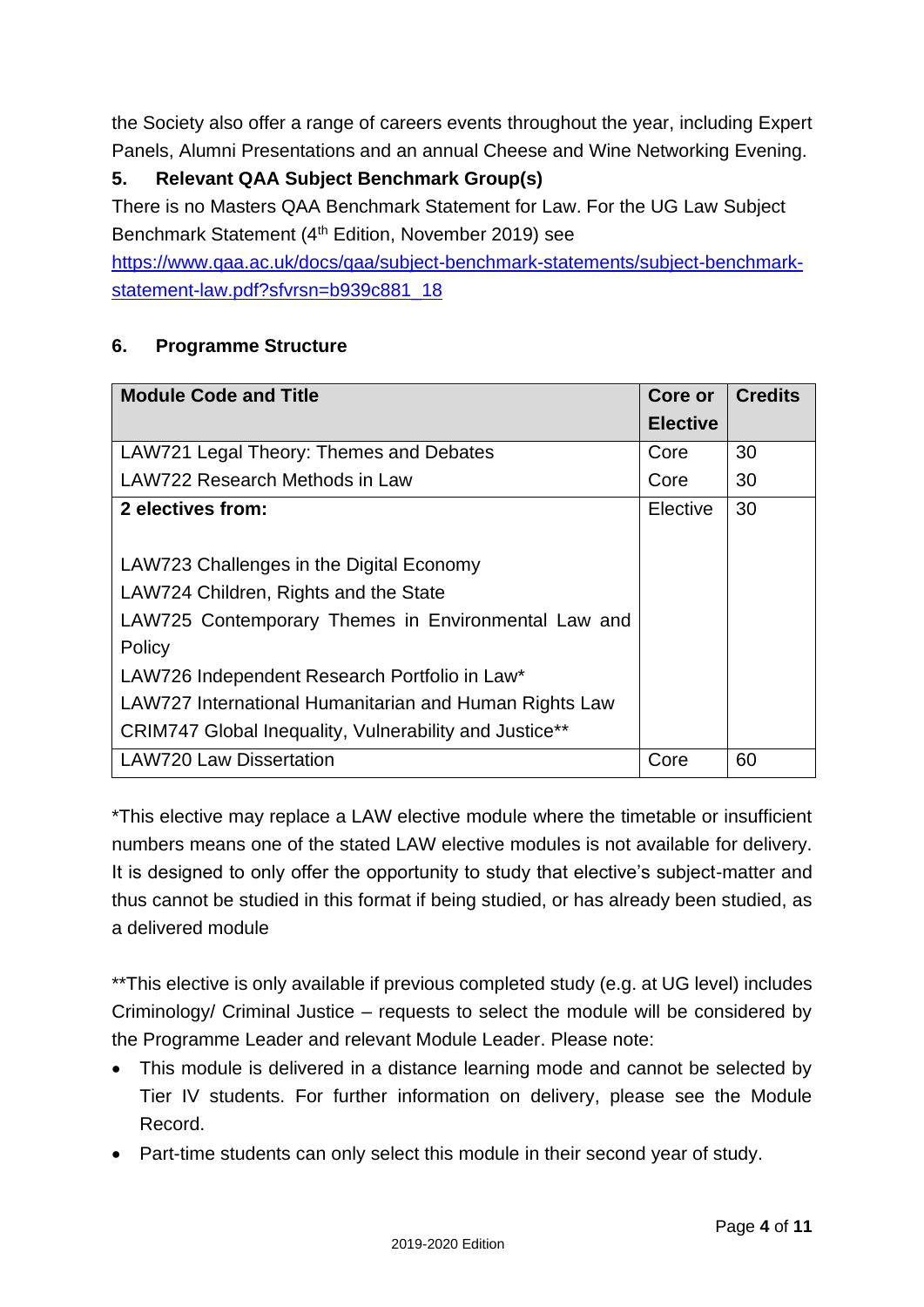the Society also offer a range of careers events throughout the year, including Expert Panels, Alumni Presentations and an annual Cheese and Wine Networking Evening.

# **5. Relevant QAA Subject Benchmark Group(s)**

There is no Masters QAA Benchmark Statement for Law. For the UG Law Subject Benchmark Statement (4<sup>th</sup> Edition, November 2019) see

[https://www.qaa.ac.uk/docs/qaa/subject-benchmark-statements/subject-benchmark](https://www.qaa.ac.uk/docs/qaa/subject-benchmark-statements/subject-benchmark-statement-law.pdf?sfvrsn=b939c881_18)[statement-law.pdf?sfvrsn=b939c881\\_18](https://www.qaa.ac.uk/docs/qaa/subject-benchmark-statements/subject-benchmark-statement-law.pdf?sfvrsn=b939c881_18)

### **6. Programme Structure**

| <b>Module Code and Title</b>                           | Core or         | <b>Credits</b> |
|--------------------------------------------------------|-----------------|----------------|
|                                                        | <b>Elective</b> |                |
| LAW721 Legal Theory: Themes and Debates                | Core            | 30             |
| LAW722 Research Methods in Law                         | Core            | 30             |
| 2 electives from:                                      | Elective        | 30             |
|                                                        |                 |                |
| LAW723 Challenges in the Digital Economy               |                 |                |
| LAW724 Children, Rights and the State                  |                 |                |
| LAW725 Contemporary Themes in Environmental Law and    |                 |                |
| Policy                                                 |                 |                |
| LAW726 Independent Research Portfolio in Law*          |                 |                |
| LAW727 International Humanitarian and Human Rights Law |                 |                |
| CRIM747 Global Inequality, Vulnerability and Justice** |                 |                |
| <b>LAW720 Law Dissertation</b>                         | Core            | 60             |

\*This elective may replace a LAW elective module where the timetable or insufficient numbers means one of the stated LAW elective modules is not available for delivery. It is designed to only offer the opportunity to study that elective's subject-matter and thus cannot be studied in this format if being studied, or has already been studied, as a delivered module

\*\*This elective is only available if previous completed study (e.g. at UG level) includes Criminology/ Criminal Justice – requests to select the module will be considered by the Programme Leader and relevant Module Leader. Please note:

- This module is delivered in a distance learning mode and cannot be selected by Tier IV students. For further information on delivery, please see the Module Record.
- Part-time students can only select this module in their second year of study.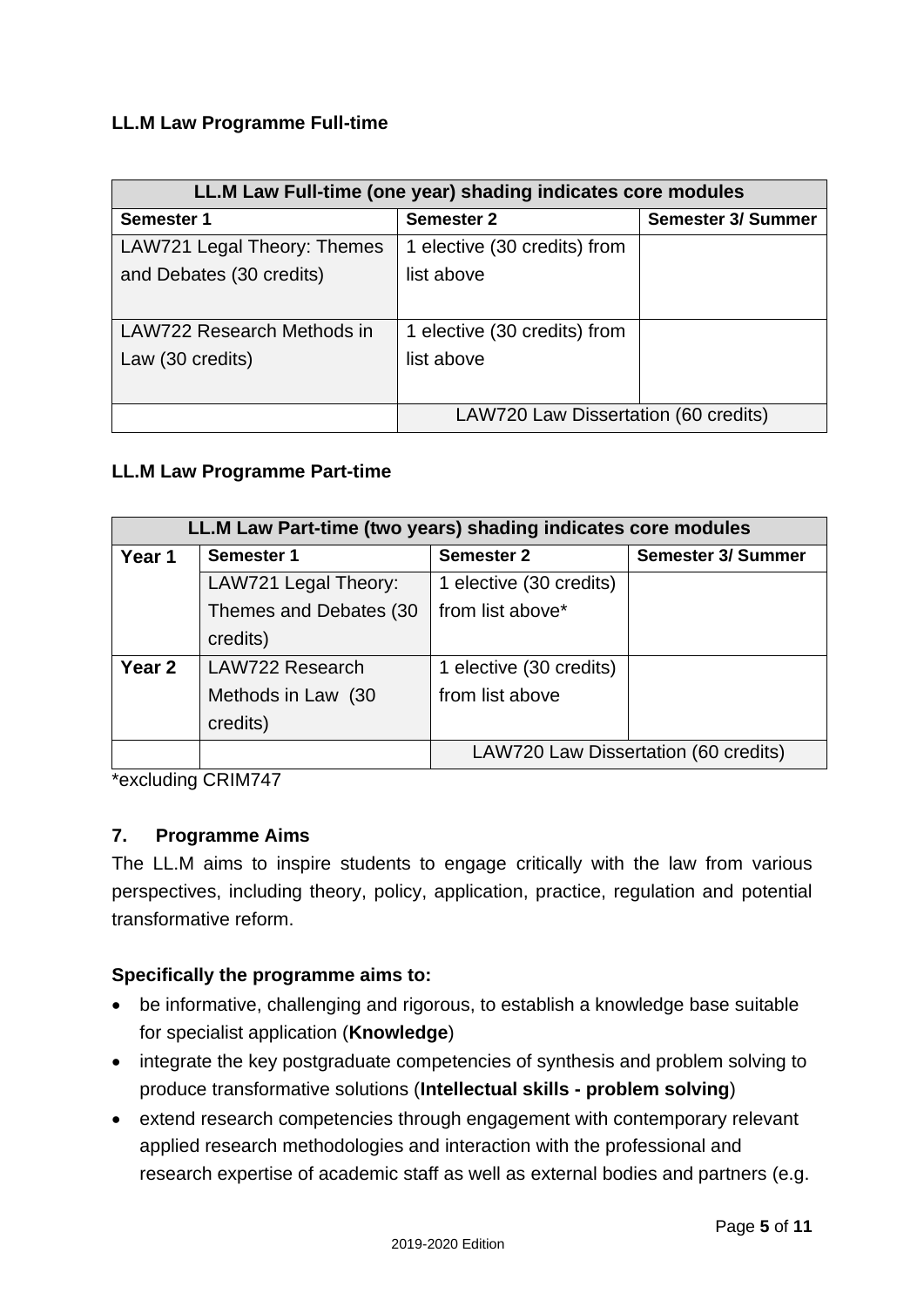### **LL.M Law Programme Full-time**

| LL.M Law Full-time (one year) shading indicates core modules |                                      |                           |  |  |  |  |  |  |  |  |  |  |  |
|--------------------------------------------------------------|--------------------------------------|---------------------------|--|--|--|--|--|--|--|--|--|--|--|
| Semester 1                                                   | <b>Semester 2</b>                    | <b>Semester 3/ Summer</b> |  |  |  |  |  |  |  |  |  |  |  |
| LAW721 Legal Theory: Themes                                  | 1 elective (30 credits) from         |                           |  |  |  |  |  |  |  |  |  |  |  |
| and Debates (30 credits)                                     | list above                           |                           |  |  |  |  |  |  |  |  |  |  |  |
|                                                              |                                      |                           |  |  |  |  |  |  |  |  |  |  |  |
| LAW722 Research Methods in                                   | 1 elective (30 credits) from         |                           |  |  |  |  |  |  |  |  |  |  |  |
| Law (30 credits)                                             | list above                           |                           |  |  |  |  |  |  |  |  |  |  |  |
|                                                              |                                      |                           |  |  |  |  |  |  |  |  |  |  |  |
|                                                              | LAW720 Law Dissertation (60 credits) |                           |  |  |  |  |  |  |  |  |  |  |  |

#### **LL.M Law Programme Part-time**

| LL.M Law Part-time (two years) shading indicates core modules |                        |                                      |  |  |  |  |  |  |  |  |  |  |  |  |
|---------------------------------------------------------------|------------------------|--------------------------------------|--|--|--|--|--|--|--|--|--|--|--|--|
| Year 1                                                        | <b>Semester 1</b>      | <b>Semester 2</b>                    |  |  |  |  |  |  |  |  |  |  |  |  |
|                                                               | LAW721 Legal Theory:   | 1 elective (30 credits)              |  |  |  |  |  |  |  |  |  |  |  |  |
|                                                               | Themes and Debates (30 | from list above*                     |  |  |  |  |  |  |  |  |  |  |  |  |
|                                                               | credits)               |                                      |  |  |  |  |  |  |  |  |  |  |  |  |
| Year <sub>2</sub>                                             | LAW722 Research        | 1 elective (30 credits)              |  |  |  |  |  |  |  |  |  |  |  |  |
|                                                               | Methods in Law (30     | from list above                      |  |  |  |  |  |  |  |  |  |  |  |  |
|                                                               | credits)               |                                      |  |  |  |  |  |  |  |  |  |  |  |  |
|                                                               |                        | LAW720 Law Dissertation (60 credits) |  |  |  |  |  |  |  |  |  |  |  |  |

\*excluding CRIM747

#### **7. Programme Aims**

The LL.M aims to inspire students to engage critically with the law from various perspectives, including theory, policy, application, practice, regulation and potential transformative reform.

#### **Specifically the programme aims to:**

- be informative, challenging and rigorous, to establish a knowledge base suitable for specialist application (**Knowledge**)
- integrate the key postgraduate competencies of synthesis and problem solving to produce transformative solutions (**Intellectual skills - problem solving**)
- extend research competencies through engagement with contemporary relevant applied research methodologies and interaction with the professional and research expertise of academic staff as well as external bodies and partners (e.g.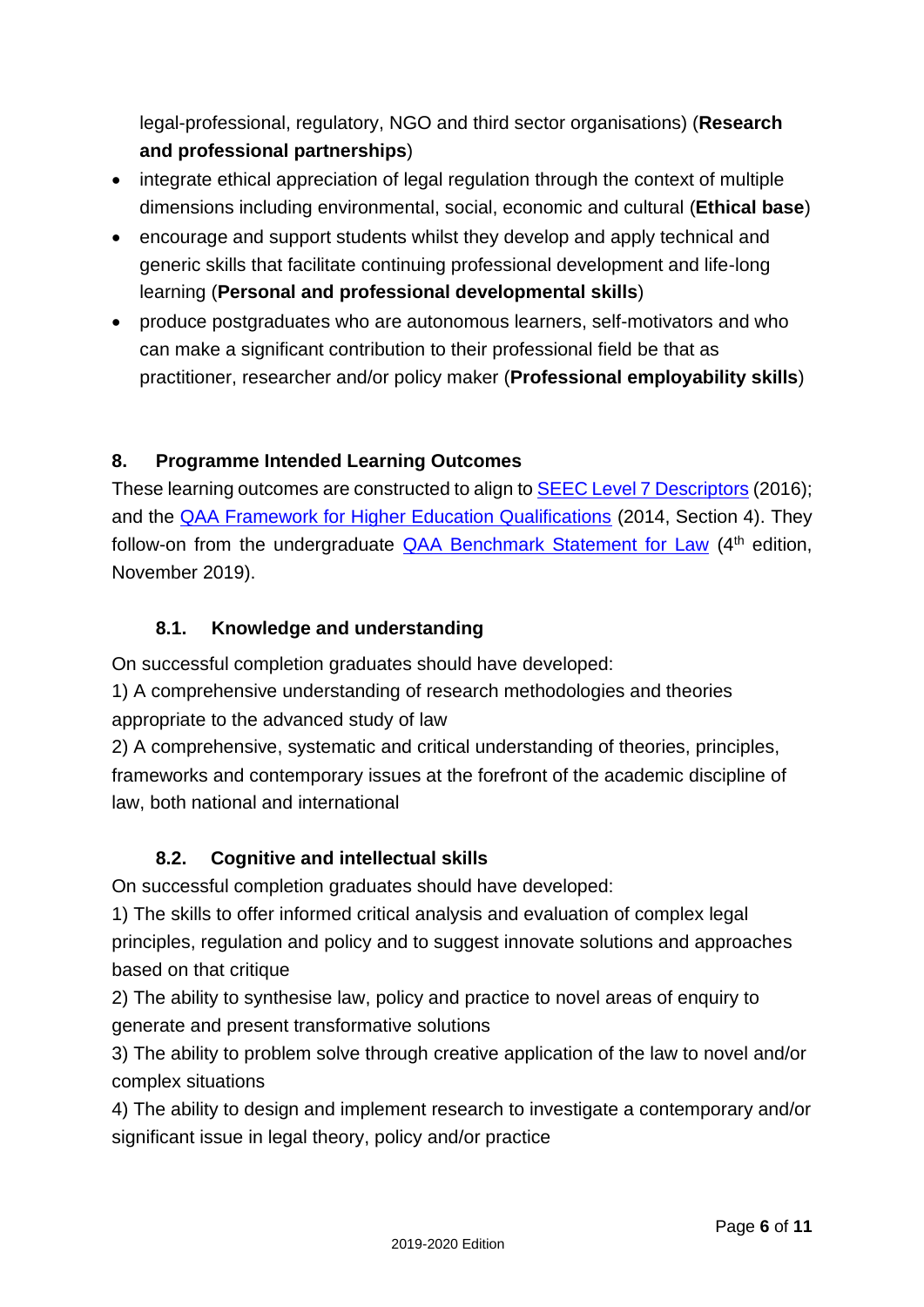legal-professional, regulatory, NGO and third sector organisations) (**Research and professional partnerships**)

- integrate ethical appreciation of legal regulation through the context of multiple dimensions including environmental, social, economic and cultural (**Ethical base**)
- encourage and support students whilst they develop and apply technical and generic skills that facilitate continuing professional development and life-long learning (**Personal and professional developmental skills**)
- produce postgraduates who are autonomous learners, self-motivators and who can make a significant contribution to their professional field be that as practitioner, researcher and/or policy maker (**Professional employability skills**)

# **8. Programme Intended Learning Outcomes**

These learning outcomes are constructed to align to [SEEC Level 7 Descriptors](https://seec.org.uk/wp-content/uploads/2016/07/SEEC-descriptors-2016.pdf) (2016); and the [QAA Framework for Higher Education Qualifications](https://www.qaa.ac.uk/quality-code/qualifications-and-credit-frameworks) (2014, Section 4). They follow-on from the undergraduate [QAA Benchmark Statement for Law](https://www.qaa.ac.uk/docs/qaa/subject-benchmark-statements/subject-benchmark-statement-law.pdf?sfvrsn=b939c881_18) (4<sup>th</sup> edition, November 2019).

## **8.1. Knowledge and understanding**

On successful completion graduates should have developed:

1) A comprehensive understanding of research methodologies and theories appropriate to the advanced study of law

2) A comprehensive, systematic and critical understanding of theories, principles, frameworks and contemporary issues at the forefront of the academic discipline of law, both national and international

# **8.2. Cognitive and intellectual skills**

On successful completion graduates should have developed:

1) The skills to offer informed critical analysis and evaluation of complex legal principles, regulation and policy and to suggest innovate solutions and approaches based on that critique

2) The ability to synthesise law, policy and practice to novel areas of enquiry to generate and present transformative solutions

3) The ability to problem solve through creative application of the law to novel and/or complex situations

4) The ability to design and implement research to investigate a contemporary and/or significant issue in legal theory, policy and/or practice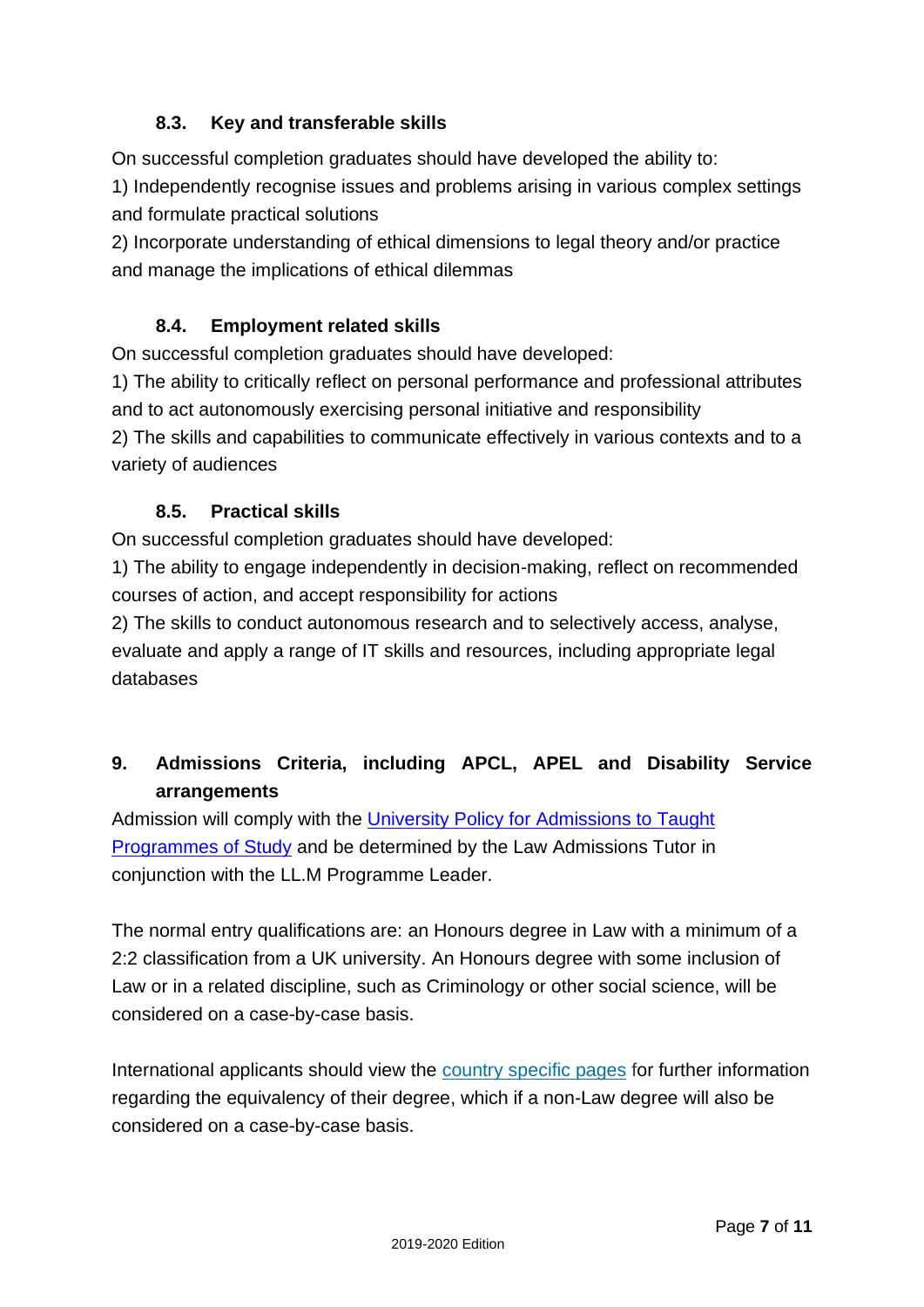## **8.3. Key and transferable skills**

On successful completion graduates should have developed the ability to:

1) Independently recognise issues and problems arising in various complex settings and formulate practical solutions

2) Incorporate understanding of ethical dimensions to legal theory and/or practice and manage the implications of ethical dilemmas

## **8.4. Employment related skills**

On successful completion graduates should have developed:

1) The ability to critically reflect on personal performance and professional attributes and to act autonomously exercising personal initiative and responsibility 2) The skills and capabilities to communicate effectively in various contexts and to a variety of audiences

### **8.5. Practical skills**

On successful completion graduates should have developed:

1) The ability to engage independently in decision-making, reflect on recommended courses of action, and accept responsibility for actions

2) The skills to conduct autonomous research and to selectively access, analyse, evaluate and apply a range of IT skills and resources, including appropriate legal databases

# **9. Admissions Criteria, including APCL, APEL and Disability Service arrangements**

Admission will comply with the [University Policy for Admissions to Taught](https://www.plymouth.ac.uk/uploads/production/document/path/15/15775/Admissions_Policy.pdf)  [Programmes of Study](https://www.plymouth.ac.uk/uploads/production/document/path/15/15775/Admissions_Policy.pdf) and be determined by the Law Admissions Tutor in conjunction with the LL.M Programme Leader.

The normal entry qualifications are: an Honours degree in Law with a minimum of a 2:2 classification from a UK university. An Honours degree with some inclusion of Law or in a related discipline, such as Criminology or other social science, will be considered on a case-by-case basis.

International applicants should view the [country specific pages](https://www.plymouth.ac.uk/international/study/international-students-country-guides) for further information regarding the equivalency of their degree, which if a non-Law degree will also be considered on a case-by-case basis.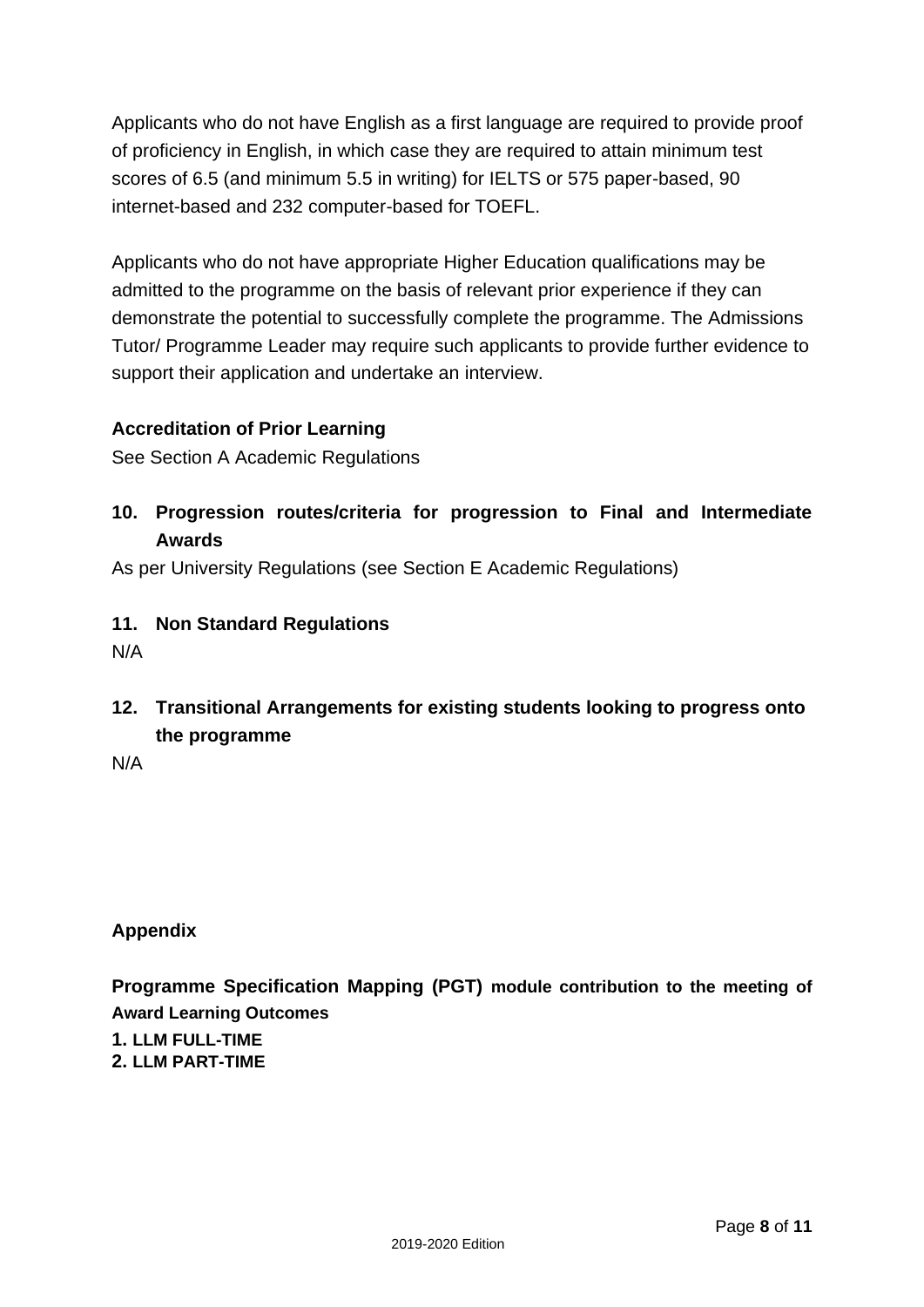Applicants who do not have English as a first language are required to provide proof of proficiency in English, in which case they are required to attain minimum test scores of 6.5 (and minimum 5.5 in writing) for IELTS or 575 paper-based, 90 internet-based and 232 computer-based for TOEFL.

Applicants who do not have appropriate Higher Education qualifications may be admitted to the programme on the basis of relevant prior experience if they can demonstrate the potential to successfully complete the programme. The Admissions Tutor/ Programme Leader may require such applicants to provide further evidence to support their application and undertake an interview.

### **Accreditation of Prior Learning**

See Section A Academic Regulations

**10. Progression routes/criteria for progression to Final and Intermediate Awards**

As per University Regulations (see Section E Academic Regulations)

- **11. Non Standard Regulations**
- N/A
- **12. Transitional Arrangements for existing students looking to progress onto the programme**

N/A

### **Appendix**

**Programme Specification Mapping (PGT) module contribution to the meeting of Award Learning Outcomes**

**1. LLM FULL-TIME 2. LLM PART-TIME**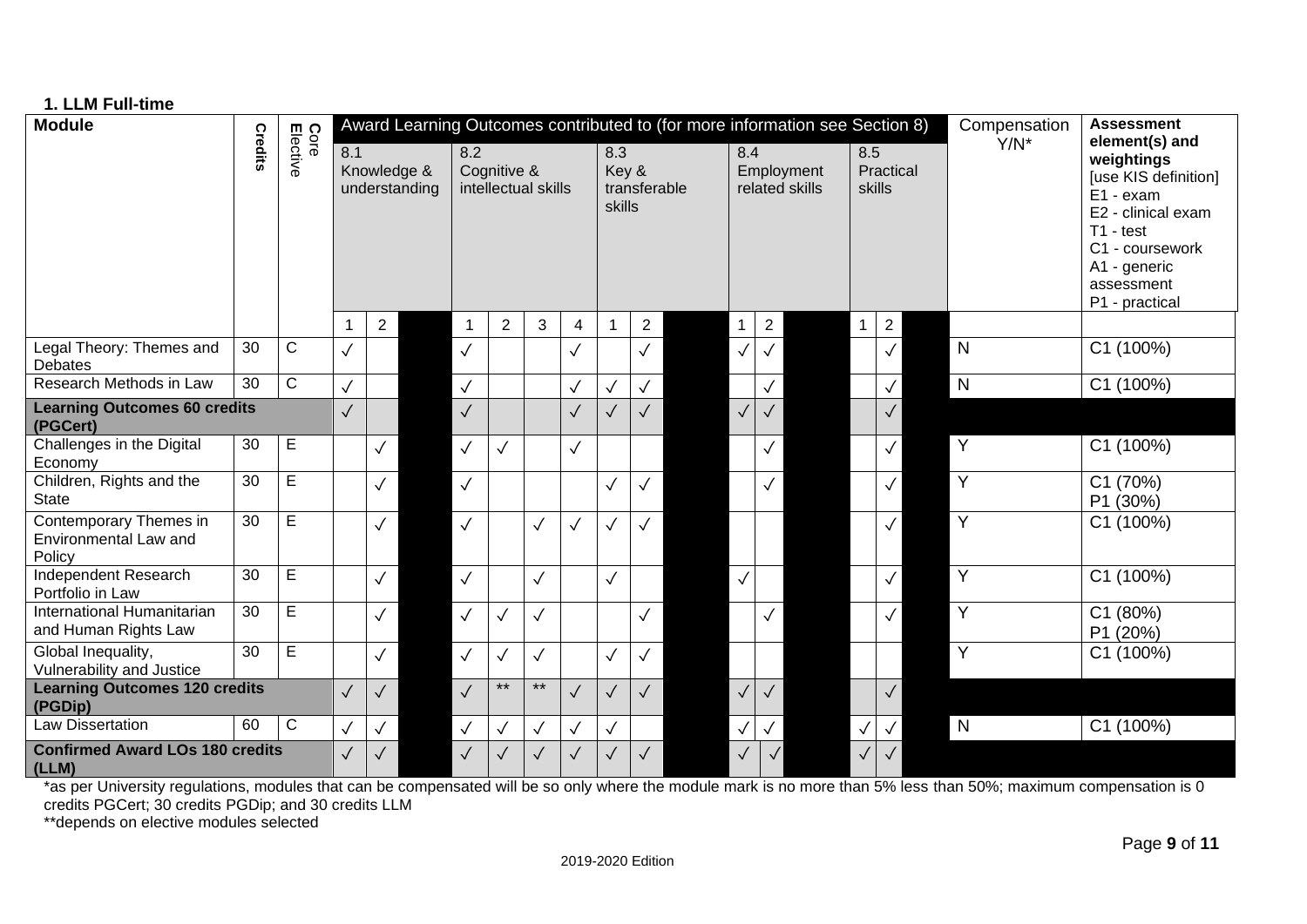| 1. LLM Full-time                                          |                 |                  |                                     |                |  |              |                                    |              |                |                        |              |  |              |                                                                             |               |              |                |                                                                                                                                                         |  |  |
|-----------------------------------------------------------|-----------------|------------------|-------------------------------------|----------------|--|--------------|------------------------------------|--------------|----------------|------------------------|--------------|--|--------------|-----------------------------------------------------------------------------|---------------|--------------|----------------|---------------------------------------------------------------------------------------------------------------------------------------------------------|--|--|
| <b>Module</b>                                             |                 |                  |                                     |                |  |              |                                    |              |                |                        |              |  |              | Award Learning Outcomes contributed to (for more information see Section 8) |               |              | Compensation   | <b>Assessment</b><br>element(s) and                                                                                                                     |  |  |
|                                                           | Credits         | Core<br>Elective | 8.1<br>Knowledge &<br>understanding |                |  | 8.2          | Cognitive &<br>intellectual skills |              |                | 8.3<br>Key &<br>skills | transferable |  | 8.4          | Employment<br>related skills                                                | 8.5<br>skills | Practical    | $Y/N^*$        | weightings<br>[use KIS definition]<br>E1 - exam<br>E2 - clinical exam<br>$T1 - test$<br>C1 - coursework<br>A1 - generic<br>assessment<br>P1 - practical |  |  |
|                                                           |                 |                  |                                     | $\overline{c}$ |  | -1           | $\overline{2}$                     | 3            | $\overline{4}$ |                        | $\mathbf{2}$ |  | $\mathbf{1}$ | $\overline{2}$                                                              | $\mathbf{1}$  | $\mathbf{2}$ |                |                                                                                                                                                         |  |  |
| Legal Theory: Themes and<br>Debates                       | 30              | $\overline{C}$   | $\checkmark$                        |                |  | $\checkmark$ |                                    |              | $\checkmark$   |                        | $\checkmark$ |  | $\checkmark$ | $\checkmark$                                                                |               | $\checkmark$ | $\overline{N}$ | C1 (100%)                                                                                                                                               |  |  |
| Research Methods in Law                                   | $\overline{30}$ | $\overline{C}$   | $\checkmark$                        |                |  | $\checkmark$ |                                    |              | $\checkmark$   | $\checkmark$           | $\checkmark$ |  |              | $\checkmark$                                                                |               | $\checkmark$ | $\overline{N}$ | C1 (100%)                                                                                                                                               |  |  |
| <b>Learning Outcomes 60 credits</b><br>(PGCert)           |                 |                  | $\sqrt{}$                           |                |  | $\checkmark$ |                                    |              | $\sqrt{}$      | $\sqrt{}$              | $\sqrt{}$    |  | $\checkmark$ | $\checkmark$                                                                |               | $\checkmark$ |                |                                                                                                                                                         |  |  |
| Challenges in the Digital<br>Economy                      | 30              | Е                |                                     | $\checkmark$   |  | $\checkmark$ | $\checkmark$                       |              | $\checkmark$   |                        |              |  |              | $\checkmark$                                                                |               | $\checkmark$ | $\overline{Y}$ | C1 (100%)                                                                                                                                               |  |  |
| Children, Rights and the<br><b>State</b>                  | 30              | E                |                                     | $\checkmark$   |  | $\checkmark$ |                                    |              |                | $\checkmark$           | $\checkmark$ |  |              | $\checkmark$                                                                |               | $\checkmark$ | $\overline{Y}$ | C1 (70%)<br>P1 (30%)                                                                                                                                    |  |  |
| Contemporary Themes in<br>Environmental Law and<br>Policy | 30              | $\overline{E}$   |                                     | $\checkmark$   |  | $\checkmark$ |                                    | $\checkmark$ | $\checkmark$   | $\checkmark$           | $\checkmark$ |  |              |                                                                             |               | $\checkmark$ | $\overline{Y}$ | C1 (100%)                                                                                                                                               |  |  |
| Independent Research<br>Portfolio in Law                  | 30              | E                |                                     | $\checkmark$   |  | $\checkmark$ |                                    | $\checkmark$ |                |                        |              |  |              |                                                                             |               | $\checkmark$ | $\overline{Y}$ | C1 (100%)                                                                                                                                               |  |  |
| International Humanitarian<br>and Human Rights Law        | 30              | $\overline{E}$   |                                     | $\checkmark$   |  | $\checkmark$ | $\checkmark$                       | $\checkmark$ |                |                        | $\checkmark$ |  |              | $\checkmark$                                                                |               | $\checkmark$ | $\overline{Y}$ | C1 (80%)<br>P1 (20%)                                                                                                                                    |  |  |
| Global Inequality,<br>Vulnerability and Justice           | $\overline{30}$ | $\overline{E}$   |                                     | $\checkmark$   |  | $\checkmark$ | $\checkmark$                       |              |                | $\checkmark$           | $\checkmark$ |  |              |                                                                             |               |              | $\overline{Y}$ | C1 (100%)                                                                                                                                               |  |  |
| <b>Learning Outcomes 120 credits</b><br>(PGDip)           |                 |                  | $\checkmark$                        | $\checkmark$   |  | $\checkmark$ | $***$                              | $***$        | $\checkmark$   | $\checkmark$           | $\checkmark$ |  | $\checkmark$ | $\checkmark$                                                                |               | $\checkmark$ |                |                                                                                                                                                         |  |  |
| <b>Law Dissertation</b>                                   | 60              | $\mathsf C$      | $\checkmark$                        | $\checkmark$   |  | $\checkmark$ | $\checkmark$                       |              | $\checkmark$   | $\checkmark$           |              |  | $\checkmark$ |                                                                             | $\checkmark$  | $\checkmark$ | N              | C1 (100%)                                                                                                                                               |  |  |
| <b>Confirmed Award LOs 180 credits</b><br>(LLM)           |                 |                  | $\checkmark$                        | $\checkmark$   |  | $\checkmark$ |                                    |              | $\checkmark$   |                        | $\sqrt{}$    |  | $\checkmark$ | $\checkmark$                                                                | $\checkmark$  |              |                |                                                                                                                                                         |  |  |

\*as per University regulations, modules that can be compensated will be so only where the module mark is no more than 5% less than 50%; maximum compensation is 0 credits PGCert; 30 credits PGDip; and 30 credits LLM

\*\*depends on elective modules selected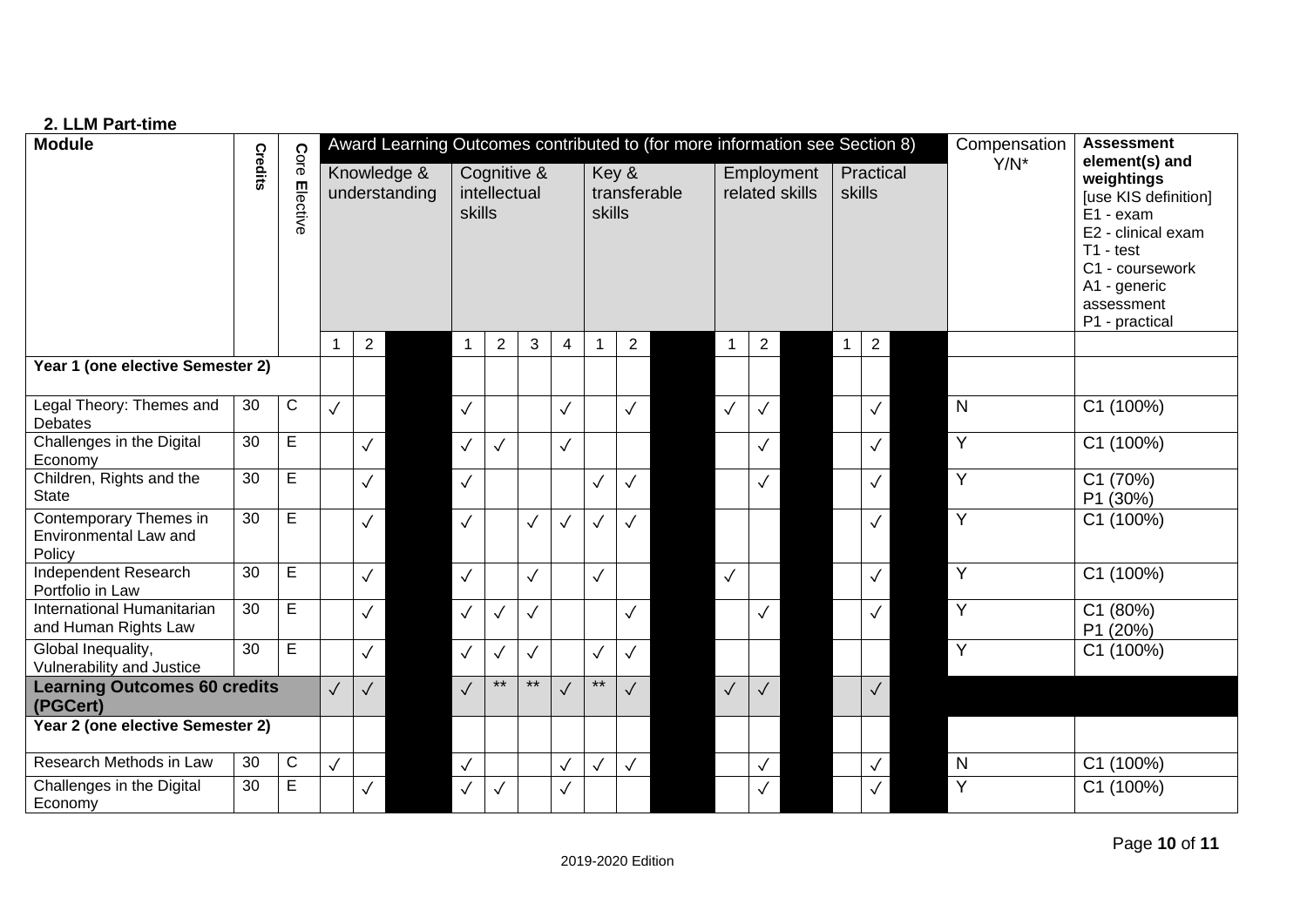| 2. LLM Part-time                                          |                 |                  |                                                                             |                              |        |                             |                |              |                |              |                |  |              |                              |                     |              |                |         |                                                                                                                                                                           |                      |
|-----------------------------------------------------------|-----------------|------------------|-----------------------------------------------------------------------------|------------------------------|--------|-----------------------------|----------------|--------------|----------------|--------------|----------------|--|--------------|------------------------------|---------------------|--------------|----------------|---------|---------------------------------------------------------------------------------------------------------------------------------------------------------------------------|----------------------|
| <b>Module</b>                                             |                 |                  | Award Learning Outcomes contributed to (for more information see Section 8) |                              |        |                             |                |              |                |              |                |  |              |                              |                     |              |                |         | Compensation                                                                                                                                                              | <b>Assessment</b>    |
|                                                           | Credits         | Core<br>Elective |                                                                             | Knowledge &<br>understanding | skills | Cognitive &<br>intellectual |                |              | skills         | Key &        | transferable   |  |              | Employment<br>related skills | Practical<br>skills |              |                | $Y/N^*$ | element(s) and<br>weightings<br>[use KIS definition]<br>E1 - exam<br>E2 - clinical exam<br>$T1 - test$<br>C1 - coursework<br>A1 - generic<br>assessment<br>P1 - practical |                      |
|                                                           |                 |                  |                                                                             | 2                            |        | $\mathbf{1}$                | $\overline{2}$ | 3            | $\overline{4}$ | 1            | $\overline{2}$ |  | $\mathbf{1}$ | $\overline{2}$               |                     | $\mathbf{1}$ | $\overline{2}$ |         |                                                                                                                                                                           |                      |
| Year 1 (one elective Semester 2)                          |                 |                  |                                                                             |                              |        |                             |                |              |                |              |                |  |              |                              |                     |              |                |         |                                                                                                                                                                           |                      |
| Legal Theory: Themes and<br>Debates                       | 30              | ${\bf C}$        | $\checkmark$                                                                |                              |        | $\checkmark$                |                |              | $\checkmark$   |              | $\checkmark$   |  | $\checkmark$ | $\checkmark$                 |                     |              | $\checkmark$   |         | N                                                                                                                                                                         | C1 (100%)            |
| Challenges in the Digital<br>Economy                      | 30              | $\mathsf E$      |                                                                             | $\checkmark$                 |        | $\checkmark$                | $\checkmark$   |              | $\checkmark$   |              |                |  |              | $\checkmark$                 |                     |              | $\checkmark$   |         | Y                                                                                                                                                                         | C1 (100%)            |
| Children, Rights and the<br><b>State</b>                  | 30              | $\mathsf E$      |                                                                             | $\checkmark$                 |        | $\checkmark$                |                |              |                | $\checkmark$ | $\checkmark$   |  |              | $\checkmark$                 |                     |              | $\checkmark$   |         | Y                                                                                                                                                                         | C1 (70%)<br>P1 (30%) |
| Contemporary Themes in<br>Environmental Law and<br>Policy | 30              | $\mathsf E$      |                                                                             | $\checkmark$                 |        | $\checkmark$                |                | $\checkmark$ | $\checkmark$   | $\checkmark$ | $\checkmark$   |  |              |                              |                     |              | $\checkmark$   |         | $\overline{Y}$                                                                                                                                                            | C1 (100%)            |
| Independent Research<br>Portfolio in Law                  | 30              | $\mathsf E$      |                                                                             | $\checkmark$                 |        | $\checkmark$                |                | $\checkmark$ |                | $\checkmark$ |                |  | $\checkmark$ |                              |                     |              | $\checkmark$   |         | Y                                                                                                                                                                         | C1 (100%)            |
| International Humanitarian<br>and Human Rights Law        | 30              | $\mathsf E$      |                                                                             | $\checkmark$                 |        | $\checkmark$                | $\checkmark$   | $\checkmark$ |                |              | $\checkmark$   |  |              | $\checkmark$                 |                     |              | $\checkmark$   |         | Y                                                                                                                                                                         | C1 (80%)<br>P1 (20%) |
| Global Inequality,<br>Vulnerability and Justice           | $\overline{30}$ | E                |                                                                             | $\checkmark$                 |        | $\checkmark$                | $\checkmark$   | $\checkmark$ |                | $\checkmark$ | $\checkmark$   |  |              |                              |                     |              |                |         | $\overline{Y}$                                                                                                                                                            | C1 (100%)            |
| <b>Learning Outcomes 60 credits</b><br>(PGCert)           |                 |                  | $\checkmark$                                                                | $\checkmark$                 |        | $\checkmark$                | $***$          | $\star\star$ | $\checkmark$   | $\star\star$ | $\checkmark$   |  | $\sqrt{2}$   | $\checkmark$                 |                     |              | $\checkmark$   |         |                                                                                                                                                                           |                      |
| Year 2 (one elective Semester 2)                          |                 |                  |                                                                             |                              |        |                             |                |              |                |              |                |  |              |                              |                     |              |                |         |                                                                                                                                                                           |                      |
| Research Methods in Law                                   | 30              | $\mathsf C$      | $\checkmark$                                                                |                              |        | $\checkmark$                |                |              | $\checkmark$   | $\checkmark$ | $\checkmark$   |  |              | $\checkmark$                 |                     |              | $\checkmark$   |         | $\mathsf{N}$                                                                                                                                                              | C1 (100%)            |
| Challenges in the Digital<br>Economy                      | 30              | Е                |                                                                             | $\checkmark$                 |        | $\checkmark$                | $\checkmark$   |              | $\checkmark$   |              |                |  |              | $\checkmark$                 |                     |              | $\checkmark$   |         | $\overline{Y}$                                                                                                                                                            | C1 (100%)            |